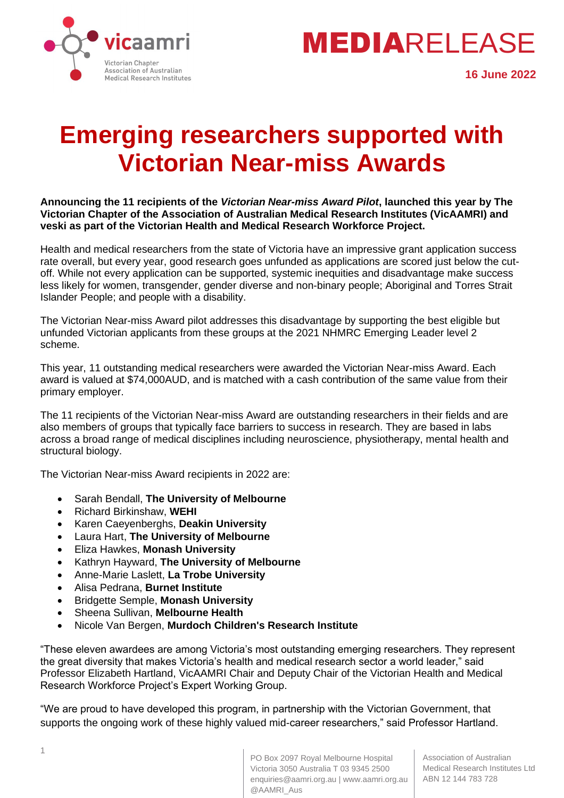



# **Emerging researchers supported with Victorian Near-miss Awards**

**Announcing the 11 recipients of the** *Victorian Near-miss Award Pilot***, launched this year by The Victorian Chapter of the Association of Australian Medical Research Institutes (VicAAMRI) and veski as part of the Victorian Health and Medical Research Workforce Project.**

Health and medical researchers from the state of Victoria have an impressive grant application success rate overall, but every year, good research goes unfunded as applications are scored just below the cutoff. While not every application can be supported, systemic inequities and disadvantage make success less likely for women, transgender, gender diverse and non-binary people; Aboriginal and Torres Strait Islander People; and people with a disability.

The Victorian Near-miss Award pilot addresses this disadvantage by supporting the best eligible but unfunded Victorian applicants from these groups at the 2021 NHMRC Emerging Leader level 2 scheme.

This year, 11 outstanding medical researchers were awarded the Victorian Near-miss Award. Each award is valued at \$74,000AUD, and is matched with a cash contribution of the same value from their primary employer.

The 11 recipients of the Victorian Near-miss Award are outstanding researchers in their fields and are also members of groups that typically face barriers to success in research. They are based in labs across a broad range of medical disciplines including neuroscience, physiotherapy, mental health and structural biology.

The Victorian Near-miss Award recipients in 2022 are:

- Sarah Bendall, **The University of Melbourne**
- Richard Birkinshaw, **WEHI**
- Karen Caeyenberghs, **Deakin University**
- Laura Hart, **The University of Melbourne**
- Eliza Hawkes, **Monash University**
- Kathryn Hayward, **The University of Melbourne**
- Anne-Marie Laslett, **La Trobe University**
- Alisa Pedrana, **Burnet Institute**
- Bridgette Semple, **Monash University**
- Sheena Sullivan, **Melbourne Health**
- Nicole Van Bergen, **Murdoch Children's Research Institute**

"These eleven awardees are among Victoria's most outstanding emerging researchers. They represent the great diversity that makes Victoria's health and medical research sector a world leader," said Professor Elizabeth Hartland, VicAAMRI Chair and Deputy Chair of the Victorian Health and Medical Research Workforce Project's Expert Working Group.

"We are proud to have developed this program, in partnership with the Victorian Government, that supports the ongoing work of these highly valued mid-career researchers," said Professor Hartland.